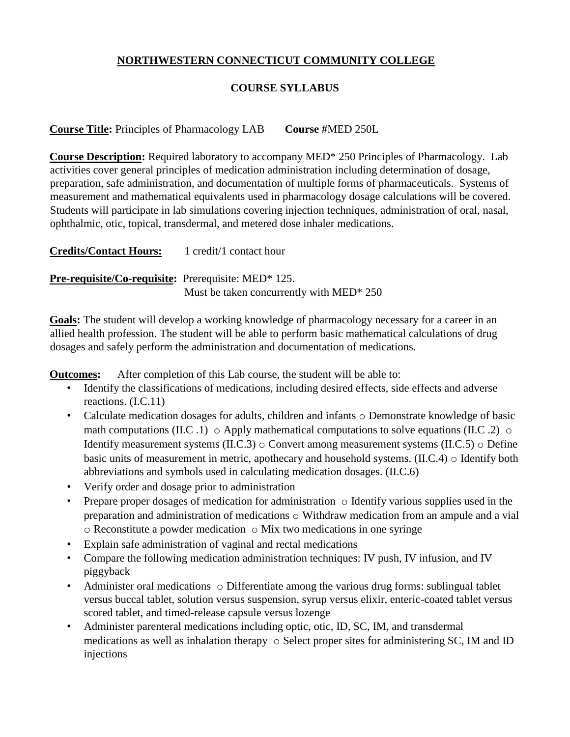## **NORTHWESTERN CONNECTICUT COMMUNITY COLLEGE**

## **COURSE SYLLABUS**

**Course Title:** Principles of Pharmacology LAB **Course #**MED 250L

**Course Description:** Required laboratory to accompany MED\* 250 Principles of Pharmacology. Lab activities cover general principles of medication administration including determination of dosage, preparation, safe administration, and documentation of multiple forms of pharmaceuticals. Systems of measurement and mathematical equivalents used in pharmacology dosage calculations will be covered. Students will participate in lab simulations covering injection techniques, administration of oral, nasal, ophthalmic, otic, topical, transdermal, and metered dose inhaler medications.

**Credits/Contact Hours:** 1 credit/1 contact hour **Pre-requisite/Co-requisite:** Prerequisite: MED\* 125. Must be taken concurrently with MED\* 250

**Goals:** The student will develop a working knowledge of pharmacology necessary for a career in an allied health profession. The student will be able to perform basic mathematical calculations of drug dosages and safely perform the administration and documentation of medications.

**Outcomes:** After completion of this Lab course, the student will be able to:

- Identify the classifications of medications, including desired effects, side effects and adverse reactions. (I.C.11)
- Calculate medication dosages for adults, children and infants o Demonstrate knowledge of basic math computations (II.C .1)  $\circ$  Apply mathematical computations to solve equations (II.C .2)  $\circ$ Identify measurement systems (II.C.3) o Convert among measurement systems (II.C.5) o Define basic units of measurement in metric, apothecary and household systems. (II.C.4) o Identify both abbreviations and symbols used in calculating medication dosages. (II.C.6)
- Verify order and dosage prior to administration
- Prepare proper dosages of medication for administration  $\circ$  Identify various supplies used in the preparation and administration of medications o Withdraw medication from an ampule and a vial  $\circ$  Reconstitute a powder medication  $\circ$  Mix two medications in one syringe
- Explain safe administration of vaginal and rectal medications
- Compare the following medication administration techniques: IV push, IV infusion, and IV piggyback
- Administer oral medications  $\circ$  Differentiate among the various drug forms: sublingual tablet versus buccal tablet, solution versus suspension, syrup versus elixir, enteric-coated tablet versus scored tablet, and timed-release capsule versus lozenge
- Administer parenteral medications including optic, otic, ID, SC, IM, and transdermal medications as well as inhalation therapy o Select proper sites for administering SC, IM and ID injections